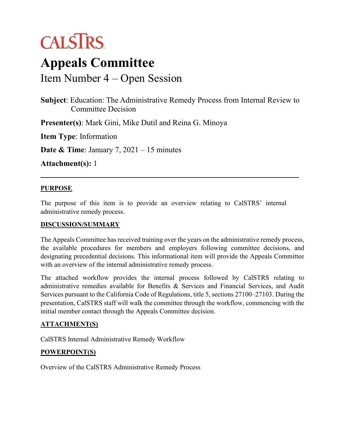# **CALSTRS**

## **Appeals Committee**

Item Number 4 – Open Session

**Subject**: Education: The Administrative Remedy Process from Internal Review to Committee Decision

**Presenter(s)**: Mark Gini, Mike Dutil and Reina G. Minoya

**Item Type**: Information

**Date & Time**: January 7, 2021 – 15 minutes

**Attachment(s):** 1

#### **PURPOSE**

The purpose of this item is to provide an overview relating to CalSTRS' internal administrative remedy process.

#### **DISCUSSION/SUMMARY**

The Appeals Committee has received training over the years on the administrative remedy process, the available procedures for members and employers following committee decisions, and designating precedential decisions. This informational item will provide the Appeals Committee with an overview of the internal administrative remedy process.

The attached workflow provides the internal process followed by CalSTRS relating to administrative remedies available for Benefits & Services and Financial Services, and Audit Services pursuant to the California Code of Regulations, title 5, sections 27100–27103. During the presentation, CalSTRS staff will walk the committee through the workflow, commencing with the initial member contact through the Appeals Committee decision.

#### **ATTACHMENT(S)**

CalSTRS Internal Administrative Remedy Workflow

### **POWERPOINT(S)**

Overview of the CalSTRS Administrative Remedy Process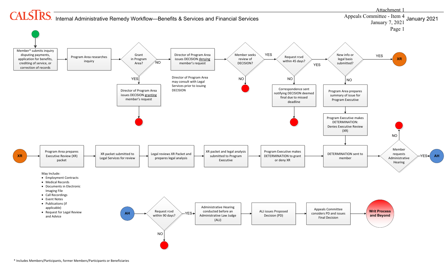